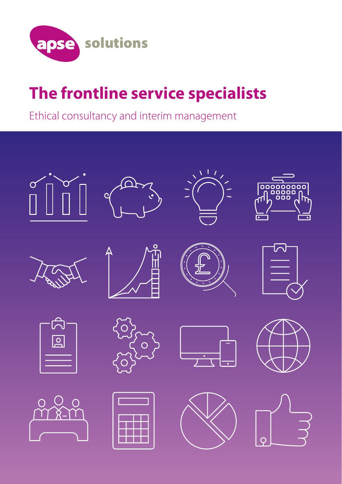

### **The frontline service specialists**

Ethical consultancy and interim management

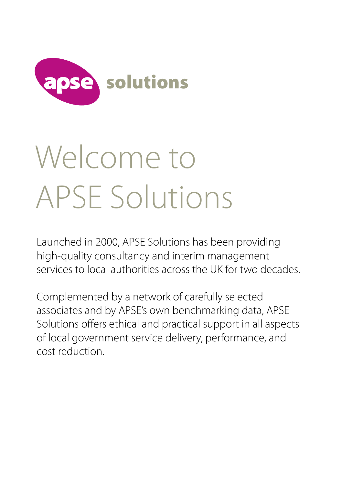

# Welcome to APSE Solutions

Launched in 2000, APSE Solutions has been providing high-quality consultancy and interim management services to local authorities across the UK for two decades.

Complemented by a network of carefully selected associates and by APSE's own benchmarking data, APSE Solutions offers ethical and practical support in all aspects of local government service delivery, performance, and cost reduction.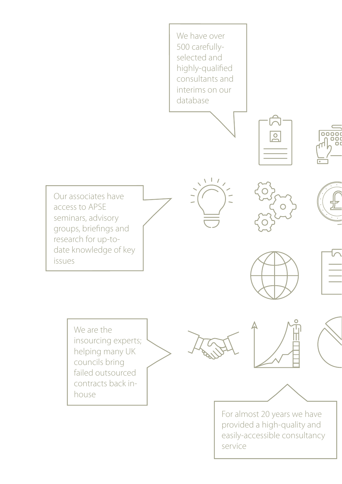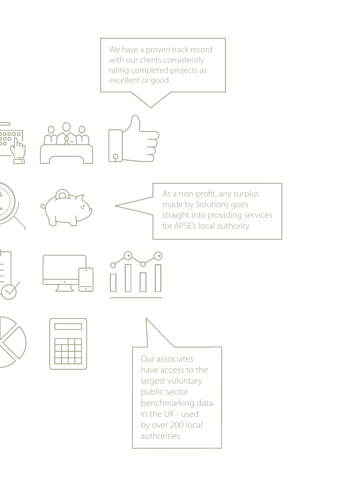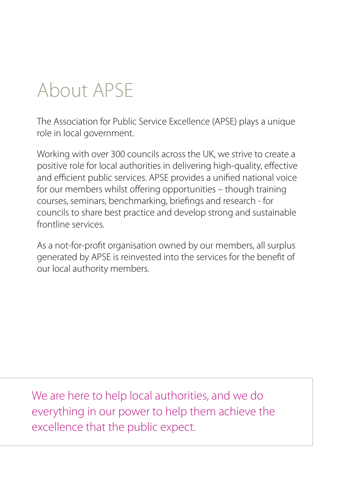### About APSE

The Association for Public Service Excellence (APSE) plays a unique role in local government.

Working with over 300 councils across the UK, we strive to create a positive role for local authorities in delivering high-quality, effective and efficient public services. APSE provides a unified national voice for our members whilst offering opportunities – though training courses, seminars, benchmarking, briefings and research - for councils to share best practice and develop strong and sustainable frontline services.

As a not-for-profit organisation owned by our members, all surplus generated by APSE is reinvested into the services for the benefit of our local authority members.

We are here to help local authorities, and we do everything in our power to help them achieve the excellence that the public expect.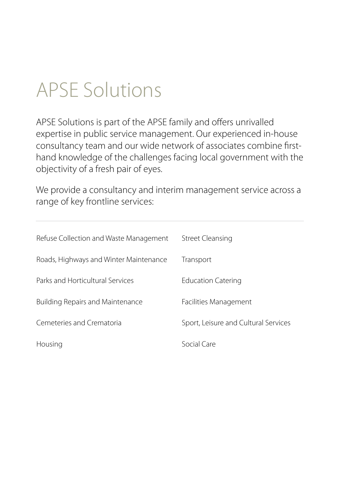### APSE Solutions

APSE Solutions is part of the APSE family and offers unrivalled expertise in public service management. Our experienced in-house consultancy team and our wide network of associates combine firsthand knowledge of the challenges facing local government with the objectivity of a fresh pair of eyes.

We provide a consultancy and interim management service across a range of key frontline services:

| Refuse Collection and Waste Management  | Street Cleansing                     |
|-----------------------------------------|--------------------------------------|
| Roads, Highways and Winter Maintenance  | Transport                            |
| Parks and Horticultural Services        | <b>Education Catering</b>            |
| <b>Building Repairs and Maintenance</b> | Facilities Management                |
| Cemeteries and Crematoria               | Sport, Leisure and Cultural Services |
| Housing                                 | Social Care                          |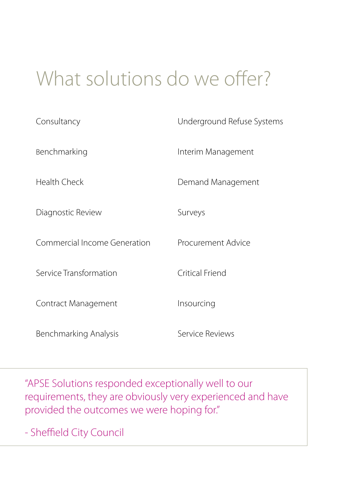### What solutions do we offer?

| Consultancy                  | Underground Refuse Systems |
|------------------------------|----------------------------|
| Benchmarking                 | Interim Management         |
| Health Check                 | Demand Management          |
| Diagnostic Review            | Surveys                    |
| Commercial Income Generation | Procurement Advice         |
| Service Transformation       | Critical Friend            |
| Contract Management          | Insourcing                 |
| Benchmarking Analysis        | Service Reviews            |

"APSE Solutions responded exceptionally well to our requirements, they are obviously very experienced and have provided the outcomes we were hoping for."

- Sheffield City Council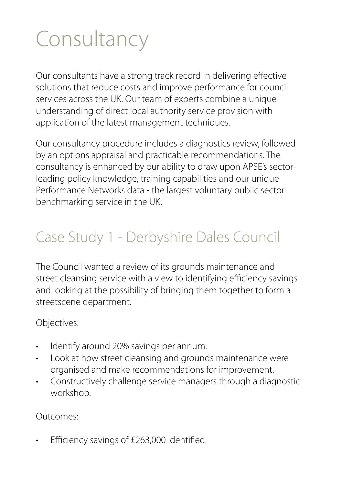## **Consultancy**

Our consultants have a strong track record in delivering effective solutions that reduce costs and improve performance for council services across the UK. Our team of experts combine a unique understanding of direct local authority service provision with application of the latest management techniques.

Our consultancy procedure includes a diagnostics review, followed by an options appraisal and practicable recommendations. The consultancy is enhanced by our ability to draw upon APSE's sectorleading policy knowledge, training capabilities and our unique Performance Networks data - the largest voluntary public sector benchmarking service in the UK.

### Case Study 1 - Derbyshire Dales Council

The Council wanted a review of its grounds maintenance and street cleansing service with a view to identifying efficiency savings and looking at the possibility of bringing them together to form a streetscene department.

Objectives:

- Identify around 20% savings per annum.
- Look at how street cleansing and grounds maintenance were organised and make recommendations for improvement.
- Constructively challenge service managers through a diagnostic workshop.

Outcomes:

Efficiency savings of £263,000 identified.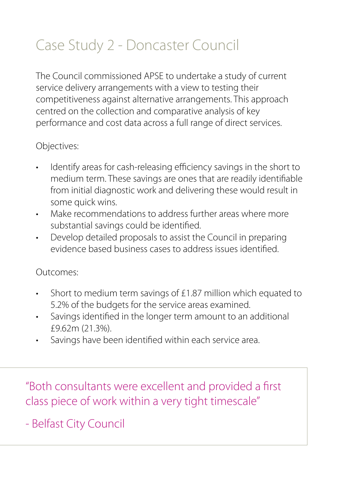### Case Study 2 - Doncaster Council

The Council commissioned APSE to undertake a study of current service delivery arrangements with a view to testing their competitiveness against alternative arrangements. This approach centred on the collection and comparative analysis of key performance and cost data across a full range of direct services.

#### Objectives:

- Identify areas for cash-releasing efficiency savings in the short to medium term. These savings are ones that are readily identifiable from initial diagnostic work and delivering these would result in some quick wins.
- Make recommendations to address further areas where more substantial savings could be identified.
- Develop detailed proposals to assist the Council in preparing evidence based business cases to address issues identified.

#### Outcomes:

- Short to medium term savings of £1.87 million which equated to 5.2% of the budgets for the service areas examined.
- Savings identified in the longer term amount to an additional £9.62m (21.3%).
- Savings have been identified within each service area.

"Both consultants were excellent and provided a first class piece of work within a very tight timescale"

- Belfast City Council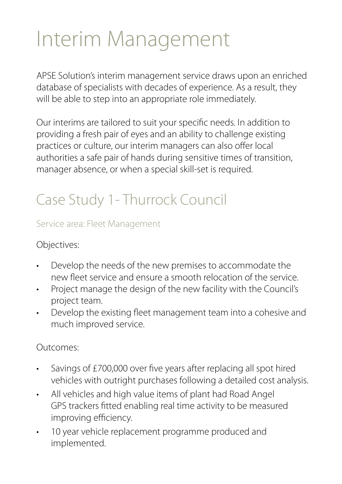## Interim Management

APSE Solution's interim management service draws upon an enriched database of specialists with decades of experience. As a result, they will be able to step into an appropriate role immediately.

Our interims are tailored to suit your specific needs. In addition to providing a fresh pair of eyes and an ability to challenge existing practices or culture, our interim managers can also offer local authorities a safe pair of hands during sensitive times of transition, manager absence, or when a special skill-set is required.

### Case Study 1- Thurrock Council

#### Service area: Fleet Management

#### Objectives:

- Develop the needs of the new premises to accommodate the new fleet service and ensure a smooth relocation of the service.
- Project manage the design of the new facility with the Council's project team.
- Develop the existing fleet management team into a cohesive and much improved service.

#### Outcomes:

- Savings of £700,000 over five years after replacing all spot hired vehicles with outright purchases following a detailed cost analysis.
- All vehicles and high value items of plant had Road Angel GPS trackers fitted enabling real time activity to be measured improving efficiency.
- 10 year vehicle replacement programme produced and implemented.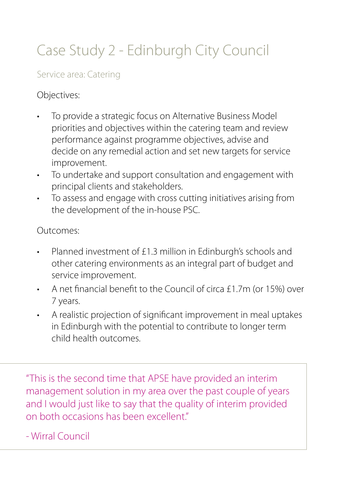### Case Study 2 - Edinburgh City Council

#### Service area: Catering

#### Objectives:

- To provide a strategic focus on Alternative Business Model priorities and objectives within the catering team and review performance against programme objectives, advise and decide on any remedial action and set new targets for service improvement.
- To undertake and support consultation and engagement with principal clients and stakeholders.
- To assess and engage with cross cutting initiatives arising from the development of the in-house PSC.

#### Outcomes:

- Planned investment of £1.3 million in Edinburgh's schools and other catering environments as an integral part of budget and service improvement.
- A net financial benefit to the Council of circa £1.7m (or 15%) over 7 years.
- A realistic projection of significant improvement in meal uptakes in Edinburgh with the potential to contribute to longer term child health outcomes.

"This is the second time that APSE have provided an interim management solution in my area over the past couple of years and I would just like to say that the quality of interim provided on both occasions has been excellent"

- Wirral Council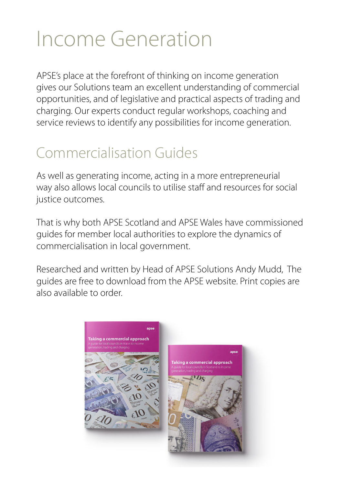## Income Generation

APSE's place at the forefront of thinking on income generation gives our Solutions team an excellent understanding of commercial opportunities, and of legislative and practical aspects of trading and charging. Our experts conduct regular workshops, coaching and service reviews to identify any possibilities for income generation.

### Commercialisation Guides

As well as generating income, acting in a more entrepreneurial way also allows local councils to utilise staff and resources for social justice outcomes.

That is why both APSE Scotland and APSE Wales have commissioned guides for member local authorities to explore the dynamics of commercialisation in local government.

Researched and written by Head of APSE Solutions Andy Mudd, The guides are free to download from the APSE website. Print copies are also available to order.

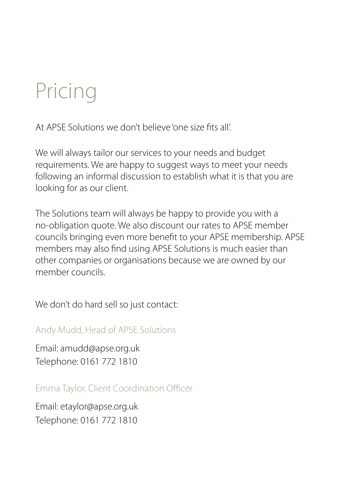## Pricing

At APSE Solutions we don't believe 'one size fits all'.

We will always tailor our services to your needs and budget requirements. We are happy to suggest ways to meet your needs following an informal discussion to establish what it is that you are looking for as our client.

The Solutions team will always be happy to provide you with a no-obligation quote. We also discount our rates to APSE member councils bringing even more benefit to your APSE membership. APSE members may also find using APSE Solutions is much easier than other companies or organisations because we are owned by our member councils.

We don't do hard sell so just contact:

Andy Mudd, Head of APSE Solutions

Email: amudd@apse.org.uk Telephone: 0161 772 1810

Emma Taylor, Client Coordination Officer

Email: etaylor@apse.org.uk Telephone: 0161 772 1810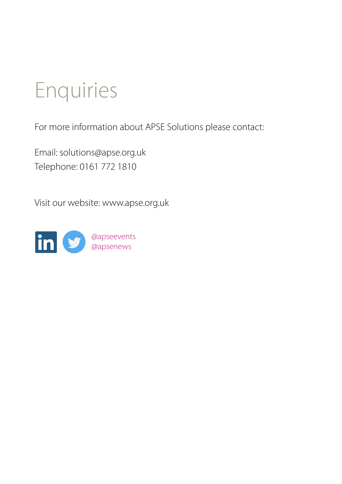## Enquiries

For more information about APSE Solutions please contact:

Email: solutions@apse.org.uk Telephone: 0161 772 1810

Visit our website: www.apse.org.uk